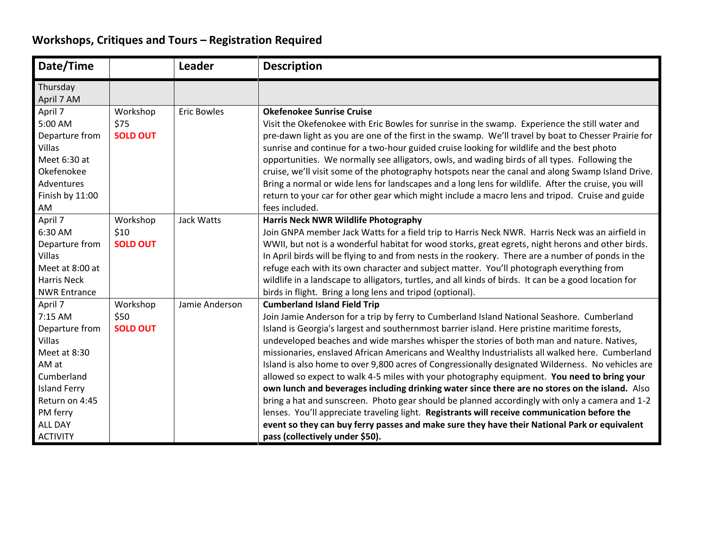## **Workshops, Critiques and Tours – Registration Required**

| Date/Time                                                                                                                                                                |                                     | <b>Leader</b>      | <b>Description</b>                                                                                                                                                                                                                                                                                                                                                                                                                                                                                                                                                                                                                                                                                                                                                                                                                                                                                                                                                                                                                                                           |
|--------------------------------------------------------------------------------------------------------------------------------------------------------------------------|-------------------------------------|--------------------|------------------------------------------------------------------------------------------------------------------------------------------------------------------------------------------------------------------------------------------------------------------------------------------------------------------------------------------------------------------------------------------------------------------------------------------------------------------------------------------------------------------------------------------------------------------------------------------------------------------------------------------------------------------------------------------------------------------------------------------------------------------------------------------------------------------------------------------------------------------------------------------------------------------------------------------------------------------------------------------------------------------------------------------------------------------------------|
| Thursday<br>April 7 AM                                                                                                                                                   |                                     |                    |                                                                                                                                                                                                                                                                                                                                                                                                                                                                                                                                                                                                                                                                                                                                                                                                                                                                                                                                                                                                                                                                              |
| April 7<br>5:00 AM<br>Departure from<br>Villas<br>Meet 6:30 at<br>Okefenokee<br>Adventures<br>Finish by 11:00<br>AM                                                      | Workshop<br>\$75<br><b>SOLD OUT</b> | <b>Eric Bowles</b> | <b>Okefenokee Sunrise Cruise</b><br>Visit the Okefenokee with Eric Bowles for sunrise in the swamp. Experience the still water and<br>pre-dawn light as you are one of the first in the swamp. We'll travel by boat to Chesser Prairie for<br>sunrise and continue for a two-hour guided cruise looking for wildlife and the best photo<br>opportunities. We normally see alligators, owls, and wading birds of all types. Following the<br>cruise, we'll visit some of the photography hotspots near the canal and along Swamp Island Drive.<br>Bring a normal or wide lens for landscapes and a long lens for wildlife. After the cruise, you will<br>return to your car for other gear which might include a macro lens and tripod. Cruise and guide<br>fees included.                                                                                                                                                                                                                                                                                                    |
| April 7<br>6:30 AM<br>Departure from<br><b>Villas</b><br>Meet at 8:00 at<br><b>Harris Neck</b><br><b>NWR Entrance</b>                                                    | Workshop<br>\$10<br><b>SOLD OUT</b> | Jack Watts         | Harris Neck NWR Wildlife Photography<br>Join GNPA member Jack Watts for a field trip to Harris Neck NWR. Harris Neck was an airfield in<br>WWII, but not is a wonderful habitat for wood storks, great egrets, night herons and other birds.<br>In April birds will be flying to and from nests in the rookery. There are a number of ponds in the<br>refuge each with its own character and subject matter. You'll photograph everything from<br>wildlife in a landscape to alligators, turtles, and all kinds of birds. It can be a good location for<br>birds in flight. Bring a long lens and tripod (optional).                                                                                                                                                                                                                                                                                                                                                                                                                                                         |
| April 7<br>7:15 AM<br>Departure from<br>Villas<br>Meet at 8:30<br>AM at<br>Cumberland<br><b>Island Ferry</b><br>Return on 4:45<br>PM ferry<br>ALL DAY<br><b>ACTIVITY</b> | Workshop<br>\$50<br><b>SOLD OUT</b> | Jamie Anderson     | <b>Cumberland Island Field Trip</b><br>Join Jamie Anderson for a trip by ferry to Cumberland Island National Seashore. Cumberland<br>Island is Georgia's largest and southernmost barrier island. Here pristine maritime forests,<br>undeveloped beaches and wide marshes whisper the stories of both man and nature. Natives,<br>missionaries, enslaved African Americans and Wealthy Industrialists all walked here. Cumberland<br>Island is also home to over 9,800 acres of Congressionally designated Wilderness. No vehicles are<br>allowed so expect to walk 4-5 miles with your photography equipment. You need to bring your<br>own lunch and beverages including drinking water since there are no stores on the island. Also<br>bring a hat and sunscreen. Photo gear should be planned accordingly with only a camera and 1-2<br>lenses. You'll appreciate traveling light. Registrants will receive communication before the<br>event so they can buy ferry passes and make sure they have their National Park or equivalent<br>pass (collectively under \$50). |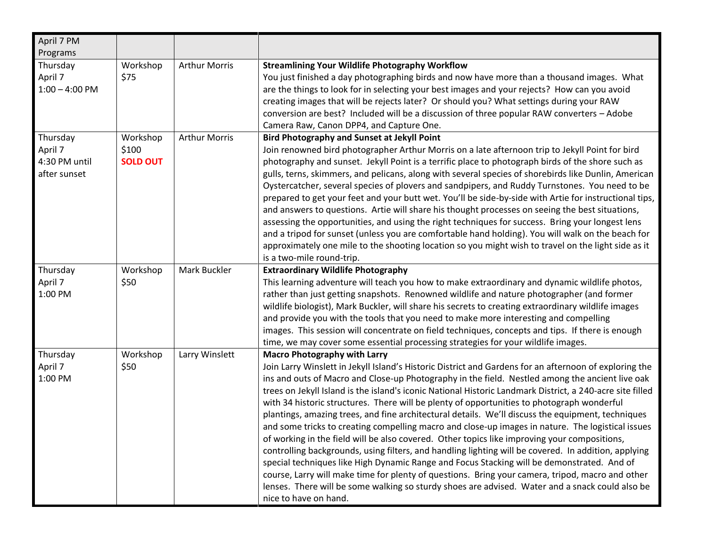| April 7 PM                                           |                                      |                      |                                                                                                                                                                                                                                                                                                                                                                                                                                                                                                                                                                                                                                                                                                                                                                                                                                                                                                                                                                                                                                                                                                                                                                                                             |
|------------------------------------------------------|--------------------------------------|----------------------|-------------------------------------------------------------------------------------------------------------------------------------------------------------------------------------------------------------------------------------------------------------------------------------------------------------------------------------------------------------------------------------------------------------------------------------------------------------------------------------------------------------------------------------------------------------------------------------------------------------------------------------------------------------------------------------------------------------------------------------------------------------------------------------------------------------------------------------------------------------------------------------------------------------------------------------------------------------------------------------------------------------------------------------------------------------------------------------------------------------------------------------------------------------------------------------------------------------|
| Programs                                             |                                      |                      |                                                                                                                                                                                                                                                                                                                                                                                                                                                                                                                                                                                                                                                                                                                                                                                                                                                                                                                                                                                                                                                                                                                                                                                                             |
| Thursday<br>April 7<br>$1:00 - 4:00$ PM              | Workshop<br>\$75                     | <b>Arthur Morris</b> | <b>Streamlining Your Wildlife Photography Workflow</b><br>You just finished a day photographing birds and now have more than a thousand images. What<br>are the things to look for in selecting your best images and your rejects? How can you avoid<br>creating images that will be rejects later? Or should you? What settings during your RAW<br>conversion are best? Included will be a discussion of three popular RAW converters - Adobe<br>Camera Raw, Canon DPP4, and Capture One.                                                                                                                                                                                                                                                                                                                                                                                                                                                                                                                                                                                                                                                                                                                  |
| Thursday<br>April 7<br>4:30 PM until<br>after sunset | Workshop<br>\$100<br><b>SOLD OUT</b> | <b>Arthur Morris</b> | <b>Bird Photography and Sunset at Jekyll Point</b><br>Join renowned bird photographer Arthur Morris on a late afternoon trip to Jekyll Point for bird<br>photography and sunset. Jekyll Point is a terrific place to photograph birds of the shore such as<br>gulls, terns, skimmers, and pelicans, along with several species of shorebirds like Dunlin, American<br>Oystercatcher, several species of plovers and sandpipers, and Ruddy Turnstones. You need to be<br>prepared to get your feet and your butt wet. You'll be side-by-side with Artie for instructional tips,<br>and answers to questions. Artie will share his thought processes on seeing the best situations,<br>assessing the opportunities, and using the right techniques for success. Bring your longest lens<br>and a tripod for sunset (unless you are comfortable hand holding). You will walk on the beach for<br>approximately one mile to the shooting location so you might wish to travel on the light side as it<br>is a two-mile round-trip.                                                                                                                                                                              |
| Thursday<br>April 7<br>1:00 PM                       | Workshop<br>\$50                     | Mark Buckler         | <b>Extraordinary Wildlife Photography</b><br>This learning adventure will teach you how to make extraordinary and dynamic wildlife photos,<br>rather than just getting snapshots. Renowned wildlife and nature photographer (and former<br>wildlife biologist), Mark Buckler, will share his secrets to creating extraordinary wildlife images<br>and provide you with the tools that you need to make more interesting and compelling<br>images. This session will concentrate on field techniques, concepts and tips. If there is enough<br>time, we may cover some essential processing strategies for your wildlife images.                                                                                                                                                                                                                                                                                                                                                                                                                                                                                                                                                                             |
| Thursday<br>April 7<br>1:00 PM                       | Workshop<br>\$50                     | Larry Winslett       | <b>Macro Photography with Larry</b><br>Join Larry Winslett in Jekyll Island's Historic District and Gardens for an afternoon of exploring the<br>ins and outs of Macro and Close-up Photography in the field. Nestled among the ancient live oak<br>trees on Jekyll Island is the island's iconic National Historic Landmark District, a 240-acre site filled<br>with 34 historic structures. There will be plenty of opportunities to photograph wonderful<br>plantings, amazing trees, and fine architectural details. We'll discuss the equipment, techniques<br>and some tricks to creating compelling macro and close-up images in nature. The logistical issues<br>of working in the field will be also covered. Other topics like improving your compositions,<br>controlling backgrounds, using filters, and handling lighting will be covered. In addition, applying<br>special techniques like High Dynamic Range and Focus Stacking will be demonstrated. And of<br>course, Larry will make time for plenty of questions. Bring your camera, tripod, macro and other<br>lenses. There will be some walking so sturdy shoes are advised. Water and a snack could also be<br>nice to have on hand. |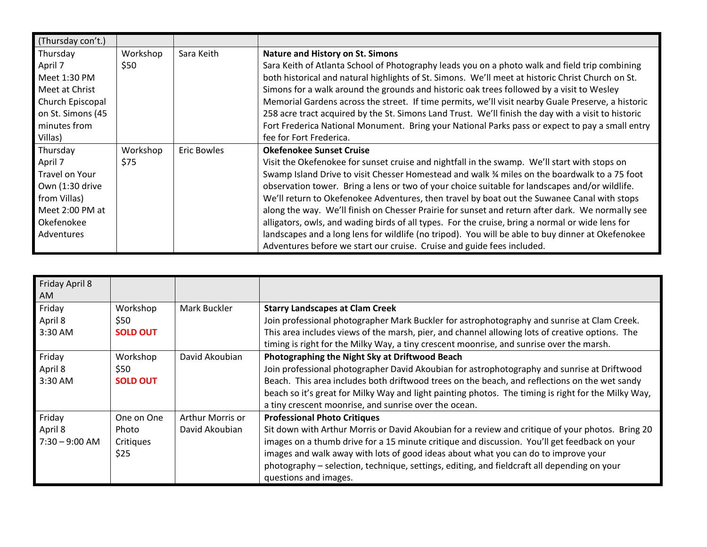| (Thursday con't.) |          |             |                                                                                                     |
|-------------------|----------|-------------|-----------------------------------------------------------------------------------------------------|
| Thursday          | Workshop | Sara Keith  | <b>Nature and History on St. Simons</b>                                                             |
| April 7           | \$50     |             | Sara Keith of Atlanta School of Photography leads you on a photo walk and field trip combining      |
| Meet 1:30 PM      |          |             | both historical and natural highlights of St. Simons. We'll meet at historic Christ Church on St.   |
| Meet at Christ    |          |             | Simons for a walk around the grounds and historic oak trees followed by a visit to Wesley           |
| Church Episcopal  |          |             | Memorial Gardens across the street. If time permits, we'll visit nearby Guale Preserve, a historic  |
| on St. Simons (45 |          |             | 258 acre tract acquired by the St. Simons Land Trust. We'll finish the day with a visit to historic |
| minutes from      |          |             | Fort Frederica National Monument. Bring your National Parks pass or expect to pay a small entry     |
| Villas)           |          |             | fee for Fort Frederica.                                                                             |
|                   |          |             |                                                                                                     |
| Thursday          | Workshop | Eric Bowles | <b>Okefenokee Sunset Cruise</b>                                                                     |
| April 7           | \$75     |             | Visit the Okefenokee for sunset cruise and nightfall in the swamp. We'll start with stops on        |
| Travel on Your    |          |             | Swamp Island Drive to visit Chesser Homestead and walk % miles on the boardwalk to a 75 foot        |
| Own (1:30 drive   |          |             | observation tower. Bring a lens or two of your choice suitable for landscapes and/or wildlife.      |
| from Villas)      |          |             | We'll return to Okefenokee Adventures, then travel by boat out the Suwanee Canal with stops         |
| Meet 2:00 PM at   |          |             | along the way. We'll finish on Chesser Prairie for sunset and return after dark. We normally see    |
| Okefenokee        |          |             | alligators, owls, and wading birds of all types. For the cruise, bring a normal or wide lens for    |
| Adventures        |          |             | landscapes and a long lens for wildlife (no tripod). You will be able to buy dinner at Okefenokee   |

| Friday April 8   |                 |                  |                                                                                                     |
|------------------|-----------------|------------------|-----------------------------------------------------------------------------------------------------|
| AM               |                 |                  |                                                                                                     |
| Friday           | Workshop        | Mark Buckler     | <b>Starry Landscapes at Clam Creek</b>                                                              |
| April 8          | \$50            |                  | Join professional photographer Mark Buckler for astrophotography and sunrise at Clam Creek.         |
| 3:30 AM          | <b>SOLD OUT</b> |                  | This area includes views of the marsh, pier, and channel allowing lots of creative options. The     |
|                  |                 |                  | timing is right for the Milky Way, a tiny crescent moonrise, and sunrise over the marsh.            |
| Friday           | Workshop        | David Akoubian   | Photographing the Night Sky at Driftwood Beach                                                      |
| April 8          | \$50            |                  | Join professional photographer David Akoubian for astrophotography and sunrise at Driftwood         |
| 3:30 AM          | <b>SOLD OUT</b> |                  | Beach. This area includes both driftwood trees on the beach, and reflections on the wet sandy       |
|                  |                 |                  | beach so it's great for Milky Way and light painting photos. The timing is right for the Milky Way, |
|                  |                 |                  | a tiny crescent moonrise, and sunrise over the ocean.                                               |
| Friday           | One on One      | Arthur Morris or | <b>Professional Photo Critiques</b>                                                                 |
| April 8          | Photo           | David Akoubian   | Sit down with Arthur Morris or David Akoubian for a review and critique of your photos. Bring 20    |
| $7:30 - 9:00$ AM | Critiques       |                  | images on a thumb drive for a 15 minute critique and discussion. You'll get feedback on your        |
|                  | \$25            |                  | images and walk away with lots of good ideas about what you can do to improve your                  |
|                  |                 |                  | photography - selection, technique, settings, editing, and fieldcraft all depending on your         |
|                  |                 |                  | questions and images.                                                                               |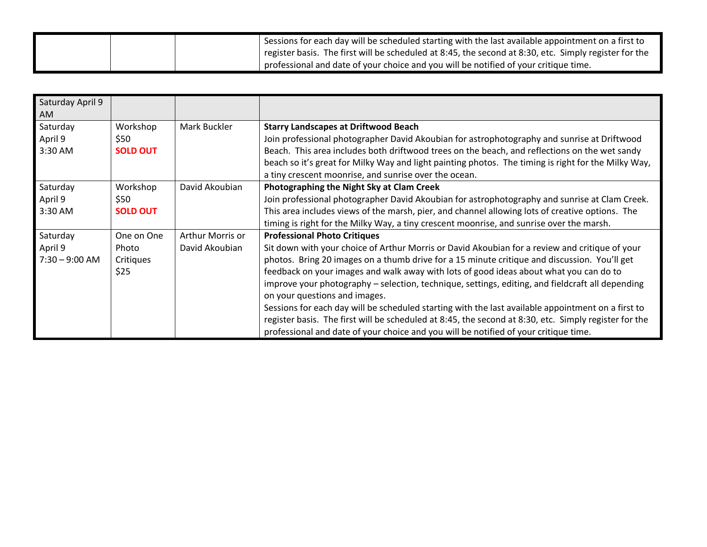|  | Sessions for each day will be scheduled starting with the last available appointment on a first to     |
|--|--------------------------------------------------------------------------------------------------------|
|  | pregister basis. The first will be scheduled at 8:45, the second at 8:30, etc. Simply register for the |
|  | professional and date of your choice and you will be notified of your critique time.                   |

| Saturday April 9<br>AM                  |                                          |                                    |                                                                                                                                                                                                                                                                                                                                                                                                                                                                                                                                                                                                                                                                                                                                                                             |
|-----------------------------------------|------------------------------------------|------------------------------------|-----------------------------------------------------------------------------------------------------------------------------------------------------------------------------------------------------------------------------------------------------------------------------------------------------------------------------------------------------------------------------------------------------------------------------------------------------------------------------------------------------------------------------------------------------------------------------------------------------------------------------------------------------------------------------------------------------------------------------------------------------------------------------|
| Saturday<br>April 9<br>3:30 AM          | Workshop<br>\$50<br><b>SOLD OUT</b>      | Mark Buckler                       | <b>Starry Landscapes at Driftwood Beach</b><br>Join professional photographer David Akoubian for astrophotography and sunrise at Driftwood<br>Beach. This area includes both driftwood trees on the beach, and reflections on the wet sandy<br>beach so it's great for Milky Way and light painting photos. The timing is right for the Milky Way,<br>a tiny crescent moonrise, and sunrise over the ocean.                                                                                                                                                                                                                                                                                                                                                                 |
| Saturday<br>April 9<br>3:30 AM          | Workshop<br>\$50<br><b>SOLD OUT</b>      | David Akoubian                     | Photographing the Night Sky at Clam Creek<br>Join professional photographer David Akoubian for astrophotography and sunrise at Clam Creek.<br>This area includes views of the marsh, pier, and channel allowing lots of creative options. The<br>timing is right for the Milky Way, a tiny crescent moonrise, and sunrise over the marsh.                                                                                                                                                                                                                                                                                                                                                                                                                                   |
| Saturday<br>April 9<br>$7:30 - 9:00$ AM | One on One<br>Photo<br>Critiques<br>\$25 | Arthur Morris or<br>David Akoubian | <b>Professional Photo Critiques</b><br>Sit down with your choice of Arthur Morris or David Akoubian for a review and critique of your<br>photos. Bring 20 images on a thumb drive for a 15 minute critique and discussion. You'll get<br>feedback on your images and walk away with lots of good ideas about what you can do to<br>improve your photography - selection, technique, settings, editing, and fieldcraft all depending<br>on your questions and images.<br>Sessions for each day will be scheduled starting with the last available appointment on a first to<br>register basis. The first will be scheduled at 8:45, the second at 8:30, etc. Simply register for the<br>professional and date of your choice and you will be notified of your critique time. |